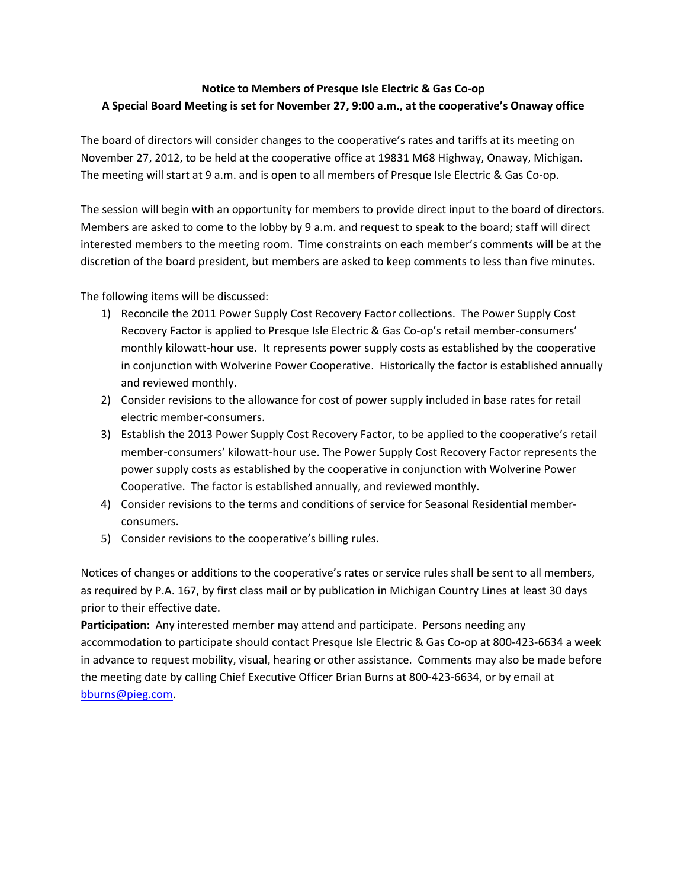## **Notice to Members of Presque Isle Electric & Gas Co‐op** A Special Board Meeting is set for November 27, 9:00 a.m., at the cooperative's Onaway office

 The board of directors will consider changes to the cooperative's rates and tariffs at its meeting on November 27, 2012, to be held at the cooperative office at 19831 M68 Highway, Onaway, Michigan. The meeting will start at 9 a.m. and is open to all members of Presque Isle Electric & Gas Co‐op.

 The session will begin with an opportunity for members to provide direct input to the board of directors. Members are asked to come to the lobby by 9 a.m. and request to speak to the board; staff will direct interested members to the meeting room. Time constraints on each member's comments will be at the discretion of the board president, but members are asked to keep comments to less than five minutes.

The following items will be discussed:

- 1) Reconcile the 2011 Power Supply Cost Recovery Factor collections. The Power Supply Cost Recovery Factor is applied to Presque Isle Electric & Gas Co‐op's retail member‐consumers' monthly kilowatt‐hour use. It represents power supply costs as established by the cooperative in conjunction with Wolverine Power Cooperative. Historically the factor is established annually and reviewed monthly.
- 2) Consider revisions to the allowance for cost of power supply included in base rates for retail electric member‐consumers.
- 3) Establish the 2013 Power Supply Cost Recovery Factor, to be applied to the cooperative's retail member-consumers' kilowatt-hour use. The Power Supply Cost Recovery Factor represents the power supply costs as established by the cooperative in conjunction with Wolverine Power Cooperative. The factor is established annually, and reviewed monthly.
- 4) Consider revisions to the terms and conditions of service for Seasonal Residential member‐ consumers.
- 5) Consider revisions to the cooperative's billing rules.

 Notices of changes or additions to the cooperative's rates or service rules shall be sent to all members, as required by P.A. 167, by first class mail or by publication in Michigan Country Lines at least 30 days prior to their effective date.

 **Participation:** Any interested member may attend and participate. Persons needing any accommodation to participate should contact Presque Isle Electric & Gas Co‐op at 800‐423‐6634 a week in advance to request mobility, visual, hearing or other assistance. Comments may also be made before the meeting date by calling Chief Executive Officer Brian Burns at 800‐423‐6634, or by email at bburns@pieg.com.